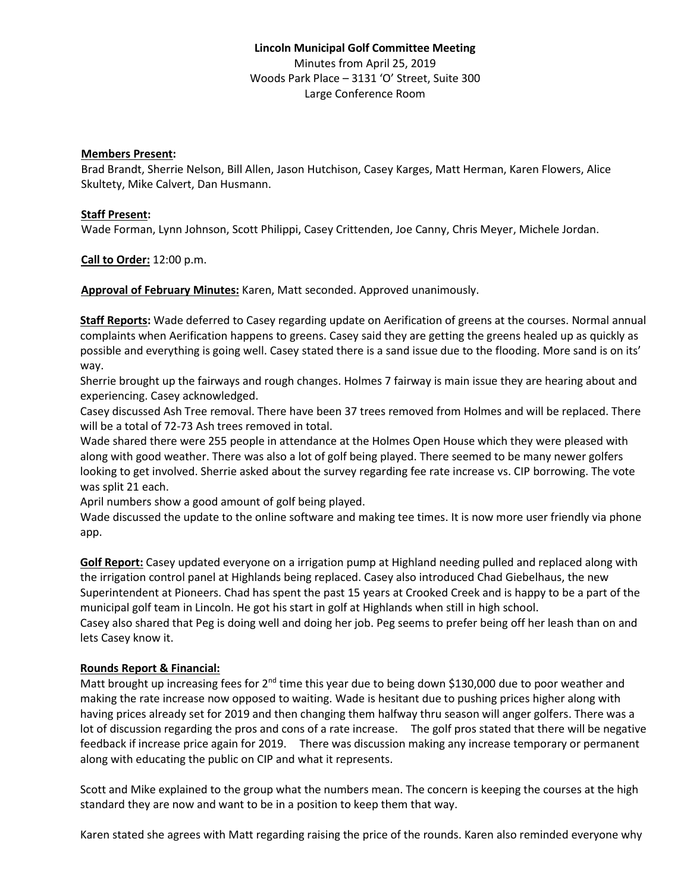# **Lincoln Municipal Golf Committee Meeting** Minutes from April 25, 2019 Woods Park Place – 3131 'O' Street, Suite 300 Large Conference Room

### **Members Present:**

Brad Brandt, Sherrie Nelson, Bill Allen, Jason Hutchison, Casey Karges, Matt Herman, Karen Flowers, Alice Skultety, Mike Calvert, Dan Husmann.

#### **Staff Present:**

Wade Forman, Lynn Johnson, Scott Philippi, Casey Crittenden, Joe Canny, Chris Meyer, Michele Jordan.

**Call to Order:** 12:00 p.m.

**Approval of February Minutes:** Karen, Matt seconded. Approved unanimously.

**Staff Reports:** Wade deferred to Casey regarding update on Aerification of greens at the courses. Normal annual complaints when Aerification happens to greens. Casey said they are getting the greens healed up as quickly as possible and everything is going well. Casey stated there is a sand issue due to the flooding. More sand is on its' way.

Sherrie brought up the fairways and rough changes. Holmes 7 fairway is main issue they are hearing about and experiencing. Casey acknowledged.

Casey discussed Ash Tree removal. There have been 37 trees removed from Holmes and will be replaced. There will be a total of 72-73 Ash trees removed in total.

Wade shared there were 255 people in attendance at the Holmes Open House which they were pleased with along with good weather. There was also a lot of golf being played. There seemed to be many newer golfers looking to get involved. Sherrie asked about the survey regarding fee rate increase vs. CIP borrowing. The vote was split 21 each.

April numbers show a good amount of golf being played.

Wade discussed the update to the online software and making tee times. It is now more user friendly via phone app.

**Golf Report:** Casey updated everyone on a irrigation pump at Highland needing pulled and replaced along with the irrigation control panel at Highlands being replaced. Casey also introduced Chad Giebelhaus, the new Superintendent at Pioneers. Chad has spent the past 15 years at Crooked Creek and is happy to be a part of the municipal golf team in Lincoln. He got his start in golf at Highlands when still in high school.

Casey also shared that Peg is doing well and doing her job. Peg seems to prefer being off her leash than on and lets Casey know it.

### **Rounds Report & Financial:**

Matt brought up increasing fees for  $2^{nd}$  time this year due to being down \$130,000 due to poor weather and making the rate increase now opposed to waiting. Wade is hesitant due to pushing prices higher along with having prices already set for 2019 and then changing them halfway thru season will anger golfers. There was a lot of discussion regarding the pros and cons of a rate increase. The golf pros stated that there will be negative feedback if increase price again for 2019. There was discussion making any increase temporary or permanent along with educating the public on CIP and what it represents.

Scott and Mike explained to the group what the numbers mean. The concern is keeping the courses at the high standard they are now and want to be in a position to keep them that way.

Karen stated she agrees with Matt regarding raising the price of the rounds. Karen also reminded everyone why